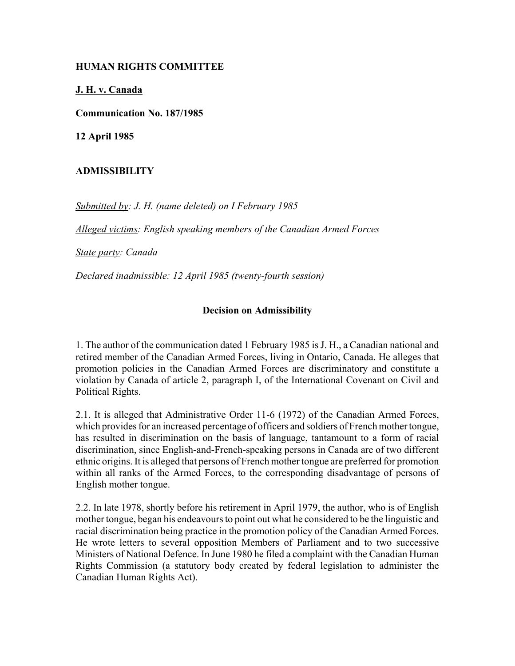## **HUMAN RIGHTS COMMITTEE**

## **J. H. v. Canada**

**Communication No. 187/1985**

**12 April 1985**

## **ADMISSIBILITY**

*Submitted by: J. H. (name deleted) on I February 1985*

*Alleged victims: English speaking members of the Canadian Armed Forces* 

*State party: Canada* 

*Declared inadmissible: 12 April 1985 (twenty-fourth session)*

## **Decision on Admissibility**

1. The author of the communication dated 1 February 1985 is J. H., a Canadian national and retired member of the Canadian Armed Forces, living in Ontario, Canada. He alleges that promotion policies in the Canadian Armed Forces are discriminatory and constitute a violation by Canada of article 2, paragraph I, of the International Covenant on Civil and Political Rights.

2.1. It is alleged that Administrative Order 11-6 (1972) of the Canadian Armed Forces, which provides for an increased percentage of officers and soldiers of French mother tongue, has resulted in discrimination on the basis of language, tantamount to a form of racial discrimination, since English-and-French-speaking persons in Canada are of two different ethnic origins. It is alleged that persons of French mother tongue are preferred for promotion within all ranks of the Armed Forces, to the corresponding disadvantage of persons of English mother tongue.

2.2. In late 1978, shortly before his retirement in April 1979, the author, who is of English mother tongue, began his endeavours to point out what he considered to be the linguistic and racial discrimination being practice in the promotion policy of the Canadian Armed Forces. He wrote letters to several opposition Members of Parliament and to two successive Ministers of National Defence. In June 1980 he filed a complaint with the Canadian Human Rights Commission (a statutory body created by federal legislation to administer the Canadian Human Rights Act).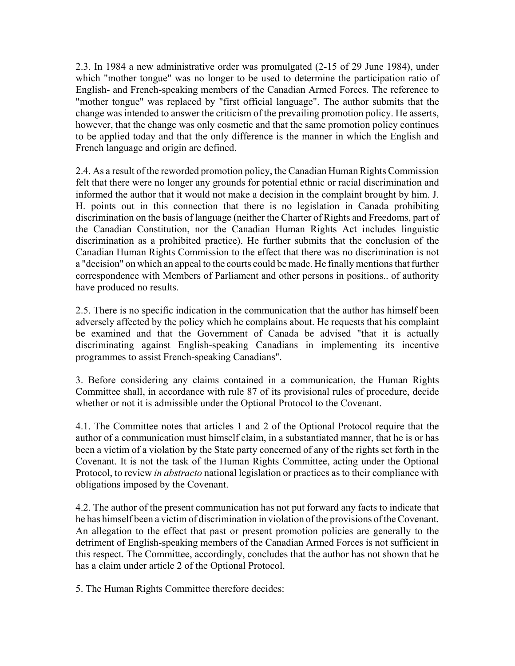2.3. In 1984 a new administrative order was promulgated (2-15 of 29 June 1984), under which "mother tongue" was no longer to be used to determine the participation ratio of English- and French-speaking members of the Canadian Armed Forces. The reference to "mother tongue" was replaced by "first official language". The author submits that the change was intended to answer the criticism of the prevailing promotion policy. He asserts, however, that the change was only cosmetic and that the same promotion policy continues to be applied today and that the only difference is the manner in which the English and French language and origin are defined.

2.4. As a result of the reworded promotion policy, the Canadian Human Rights Commission felt that there were no longer any grounds for potential ethnic or racial discrimination and informed the author that it would not make a decision in the complaint brought by him. J. H. points out in this connection that there is no legislation in Canada prohibiting discrimination on the basis of language (neither the Charter of Rights and Freedoms, part of the Canadian Constitution, nor the Canadian Human Rights Act includes linguistic discrimination as a prohibited practice). He further submits that the conclusion of the Canadian Human Rights Commission to the effect that there was no discrimination is not a "decision" on which an appeal to the courts could be made. He finally mentions that further correspondence with Members of Parliament and other persons in positions.. of authority have produced no results.

2.5. There is no specific indication in the communication that the author has himself been adversely affected by the policy which he complains about. He requests that his complaint be examined and that the Government of Canada be advised "that it is actually discriminating against English-speaking Canadians in implementing its incentive programmes to assist French-speaking Canadians".

3. Before considering any claims contained in a communication, the Human Rights Committee shall, in accordance with rule 87 of its provisional rules of procedure, decide whether or not it is admissible under the Optional Protocol to the Covenant.

4.1. The Committee notes that articles 1 and 2 of the Optional Protocol require that the author of a communication must himself claim, in a substantiated manner, that he is or has been a victim of a violation by the State party concerned of any of the rights set forth in the Covenant. It is not the task of the Human Rights Committee, acting under the Optional Protocol, to review *in abstracto* national legislation or practices as to their compliance with obligations imposed by the Covenant.

4.2. The author of the present communication has not put forward any facts to indicate that he has himself been a victim of discrimination in violation of the provisions of the Covenant. An allegation to the effect that past or present promotion policies are generally to the detriment of English-speaking members of the Canadian Armed Forces is not sufficient in this respect. The Committee, accordingly, concludes that the author has not shown that he has a claim under article 2 of the Optional Protocol.

5. The Human Rights Committee therefore decides: